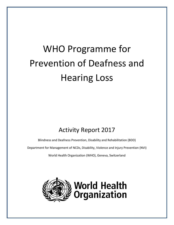# WHO Programme for Prevention of Deafness and Hearing Loss

## Activity Report 2017

Blindness and Deafness Prevention, Disability and Rehabilitation (BDD)

Department for Management of NCDs, Disability, Violence and Injury Prevention (NVI)

World Health Organization (WHO), Geneva, Switzerland

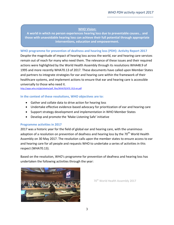### **WHO Vision:**

**A world in which no person experiences hearing loss due to preventable causes… and those with unavoidable hearing loss can achieve their full potential through appropriate interventions, education and empowerment.**

### **WHO programme for prevention of deafness and hearing loss (PDH): Activity Report 2017**

Despite the magnitude of impact of hearing loss across the world, ear and hearing care services remain out of reach for many who need them. The relevance of these issues and their required actions were highlighted by the World Health Assembly through its resolutions WHA48.9 of 1995 and more recently WHA70.13 of 2017. These documents have called upon Member States and partners to integrate strategies for ear and hearing care within the framework of their healthcare systems, and implement actions to ensure that ear and hearing care is accessible universally to those who need it.

[http://apps.who.int/gb/ebwha/pdf\\_files/WHA70/A70\\_R13-en.pdf](http://apps.who.int/gb/ebwha/pdf_files/WHA70/A70_R13-en.pdf)

### **In the context of these resolutions, WHO objectives are to:**

- Gather and collate data to drive action for hearing loss
- Undertake effective evidence-based advocacy for prioritization of ear and hearing care
- Support strategy development and implementation in WHO Member States
- Develop and promote the 'Make Listening Safe' initiative

### **Programme activities in 2017**

2017 was a historic year for the field of global ear and hearing care, with the unanimous adoption of a resolution on prevention of deafness and hearing loss by the 70<sup>th</sup> World Health Assembly on 30 May 2017. The resolution calls upon the member states to ensure access to ear and hearing care for all people and requests WHO to undertake a series of activities in this respect (WHA70.13).

Based on the resolution, WHO's programme for prevention of deafness and hearing loss has undertaken the following activities through the year:



70<sup>th</sup> World Health Assembly 2017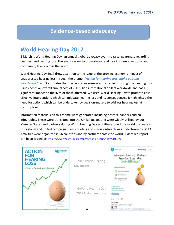### **Evidence-based advocacy**

### **World Hearing Day 2017**

3 March is World Hearing Day, an annual global advocacy event to raise awareness regarding deafness and hearing loss. The event serves to promote ear and hearing care at national and community levels across the world.

World Hearing Day 2017 drew attention to the issue of the growing economic impact of unaddressed hearing loss through the theme: **"***Action for hearing loss: make a sound investment.***"** WHO estimates that the lack of awareness and intervention in global hearing loss issues poses an overall annual cost of 750 billion international dollars worldwide and has a significant impact on the lives of those affected. We used World Hearing Day to promote costeffective interventions which can mitigate hearing loss and its consequences. It highlighted the need for actions which can be undertaken by decision-makers to address hearing loss at country level.

Information materials on this theme were generated including posters, banners and an infographic. These were translated into the UN languages and were widely utilized by our Member States and partners during World Hearing Day activities around the world to create a truly global and united campaign. Press briefing and media outreach was undertaken by WHO. Activities were organized in 56 countries and by partners across the world. A detailed report can be accessed at: <http://www.who.int/pbd/deafness/world-hearing-day/2017/en/>



←2017 World Hearing Day poster

→World Hearing Day 2017 Instagram posts



4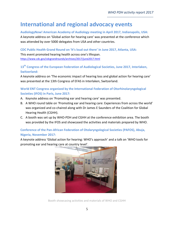**International and regional advocacy events**

**AudiologyNow! American Academy of Audiology meeting in April 2017, Indianapolis, USA:** A keynote address on 'Global action for hearing care' was presented at the conference which was attended by over 5000 delegates from USA and other countries.

**CDC Public Health Grand Round on 'It's loud out there' in June 2017, Atlanta, USA:**

This event promoted hearing health across one's lifespan. <https://www.cdc.gov/cdcgrandrounds/archives/2017/june2017.html>

**13th Congress of the European Federation of Audiological Societies, June 2017, Interlaken, Switzerland:** 

A keynote address on 'The economic impact of hearing loss and global action for hearing care' was presented at the 13th Congress of EFAS in Interlaken, Switzerland.

**World ENT Congress organized by the International Federation of Otorhinolaryngological Societies (IFOS) in Paris, June 2017:** 

- A. Keynote address on 'Promoting ear and hearing care' was presented.
- B. A WHO round table on 'Promoting ear and hearing care: Experiences from across the world' was organized and co-chaired along with Dr James E Saunders of the Coalition for Global Hearing Health (CGHH).
- C. A booth was set up by WHO-PDH and CGHH at the conference exhibition area. The booth was provided by the IFOS and showcased the activities and materials prepared by WHO.

### **Conference of the Pan-African Federation of Otolaryngological Societies (PAFOS), Abuja, Nigeria, November 2017:**

A keynote address 'Global action for hearing: WHO's approach' and a talk on 'WHO tools for promoting ear and hearing care at country level'.



Booth showcasing activities and materials of WHO and CGHH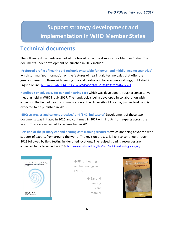**Support strategy development and implementation in WHO Member States**

### **Technical documents**

The following documents are part of the toolkit of technical support for Member States. The documents under development or launched in 2017 include:

**'Preferred profile of hearing aid technology suitable for lower- and middle-income countries'** which summarizes information on the features of hearing-aid technologies that offer the greatest benefit to those with hearing loss and deafness in low-resource settings, published in English online. <http://apps.who.int/iris/bitstream/10665/258721/1/9789241512961-eng.pdf>

**Handbook on advocacy for ear and hearing care** which was developed through a consultative meeting held in WHO in July 2017. The handbook is being developed in collaboration with experts in the field of health communication at the University of Lucerne, Switzerland and is expected to be published in 2018.

**'EHC: strategies and current practices' and 'EHC: indicators:'** Development of these two documents was initiated in 2016 and continued in 2017 with inputs from experts across the world. These are expected to be launched in 2018.

**Revision of the primary ear and hearing care training resources** which are being advanced with support of experts from around the world. The revision process is likely to continue through 2018 followed by field testing in identified locations. The revised training resources are expected to be launched in 2019. [http://www.who.int/pbd/deafness/activities/hearing\\_care/en/](http://www.who.int/pbd/deafness/activities/hearing_care/en/)



←PP for hearing aid technology in LMICs

 $\rightarrow$  Ear and hearing care manual

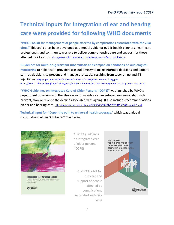*WHO PDH activity report 2017 -----------------------------------------*

# **Technical inputs for integration of ear and hearing care were provided for following WHO documents**

**"WHO Toolkit for management of people affected by complications associated with the Zika virus."** This toolkit has been developed as a model guide for public health planners, healthcare professionals and community workers to deliver comprehensive care and support for those affected by Zika virus. [http://www.who.int/mental\\_health/neurology/zika\\_toolkit/en/](http://www.who.int/mental_health/neurology/zika_toolkit/en/)

**Guidelines for multi-drug resistant tuberculosis and companion handbook on audiological monitoring** to help health providers use audiometry to make informed decisions and patientcentred decisions to prevent and manage ototoxicity resulting from second-line anti-TB injectables. <http://apps.who.int/iris/bitstream/10665/250125/1/9789241549639-eng.pdf> [https://www.challengetb.org/publications/tools/pmdt/Audiometry\\_in\\_the%20Management\\_of\\_Drug\\_Resistant\\_TB.pdf](https://www.challengetb.org/publications/tools/pmdt/Audiometry_in_the%20Management_of_Drug_Resistant_TB.pdf)

**"WHO Guidelines on Integrated Care of Older Persons (ICOPE)"** was launched by WHO's department on ageing and the life-course. It includes evidence-based recommendations to prevent, slow or reverse the decline associated with ageing. It also includes recommendations on ear and hearing care. <http://apps.who.int/iris/bitstream/10665/258981/1/9789241550109-eng.pdf?ua=1>

**Technical input for 'ICope: the path to universal health coverage,'** which was a global consultation held in October 2017 in Berlin.



Integrated care for older people Guidelines on community-level interventions to manage declines in intrinsic capacity

(<a>World Health

←WHO guidelines on integrated care of older persons (ICOPE)

→WHO Toolkit for the care and support of people affected by complications associated with Zika virus

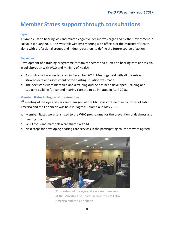**Member States support through consultations**

### **Japan:**

A symposium on hearing loss and related cognitive decline was organized by the Government in Tokyo in January 2017. This was followed by a meeting with officials of the Ministry of Health along with professional groups and industry partners to define the future course of action.

#### **Tajikistan:**

Development of a training programme for family doctors and nurses on hearing care and vision, in collaboration with WCO and Ministry of Health.

- a. A country visit was undertaken in December 2017. Meetings held with all the relevant stakeholders and assessment of the existing situation was made.
- b. The next steps were identified and a training outline has been developed. Training and capacity building for ear and hearing care are to be initiated in April 2018.

### **Member States in Region of the Americas:**

3<sup>rd</sup> meeting of the eye and ear care managers at the Ministries of Health in countries of Latin America and the Caribbean was held in Bogota, Colombia in May 2017.

- a. Member States were sensitized to the WHO programme for the prevention of deafness and hearing loss.
- b. WHO tools and materials were shared with MS.
- c. Next steps for developing hearing care services in the participating countries were agreed.



3<sup>rd</sup> meeting of the eye and ear care managers at the Ministries of Health in countries of Latin America and the Caribbean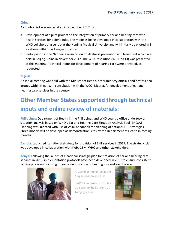### **China:**

A country visit was undertaken in November 2017 for:

- a. Development of a pilot project on the integration of primary ear and hearing care with health services for older adults. The model is being developed in collaboration with the WHO collaborating centre at the Nanjing Medical University and will initially be piloted in 3 locations within the Jiangsu province.
- b. Participation in the National Consultation on deafness prevention and treatment which was held in Beijing, China in November 2017. The WHA resolution (WHA 70.13) was presented at this meeting. Technical inputs for development of hearing care were provided, as requested.

### **Nigeria:**

An initial meeting was held with the Minister of Health, other ministry officials and professional groups within Nigeria, in consultation with the WCO, Nigeria, for development of ear and hearing care services in the country.

# **Other Member States supported through technical inputs and online review of materials:**

**Philippines:** Department of Health in the Philippines and WHO country office undertook a situation analysis based on WHO's Ear and Hearing Care Situation Analysis Tool (EHCSAT). Planning was initiated with use of WHO handbook for planning of national EHC strategies. Three models will be developed as demonstration sites by the Department of Health in coming months.

**Zambia:** Launched its national strategy for provision of ENT services in 2017. The strategic plan was developed in collaboration with MoH, CBM, WHO and other stakeholders.

**Kenya:** Following the launch of a national strategic plan for provision of ear and hearing care services in 2016, implementation protocols have been developed in 2017 to ensure consistent service provision, focusing on early identification of hearing loss and ear diseases.



←Cochlear implantee at the Suqian hospital in China

 $\rightarrow$ WHO materials on display at a primary health centre in Nanjing, China

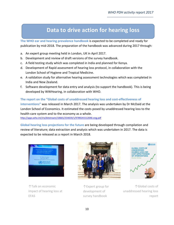**Data to drive action for hearing loss**

**The WHO ear and hearing prevalence handbook** is expected to be completed and ready for publication by mid-2018. The preparation of the handbook was advanced during 2017 through:

- a. An expert group meeting held in London, UK in April 2017.
- b. Development and review of draft versions of the survey handbook.
- c. A field testing study which was completed in India and planned for Kenya.
- d. Development of Rapid assessment of hearing loss protocol, in collaboration with the London School of Hygiene and Tropical Medicine.
- e. A validation study for alternative hearing assessment technologies which was completed in India and New Zealand.
- f. Software development for data entry and analysis (to support the handbook). This is being developed by WWHearing, in collaboration with WHO.

**The report on the "Global costs of unaddressed hearing loss and cost-effectiveness of interventions"** was released in March 2017. The analysis was undertaken by Dr McDaid at the London School of Economics. It estimated the costs posed by unaddressed hearing loss to the health-care system and to the economy as a whole. <http://apps.who.int/iris/bitstream/10665/254659/1/9789241512046-eng.pdf>

**Global hearing loss projections for the future** are being developed through compilation and review of literature; data extraction and analysis which was undertaken in 2017. The data is expected to be released as a report in March 2018.



↑Talk on economic impact of hearing loss at EFAS



↑Expert group for development of survey handbook



↑Global costs of unaddressed hearing loss report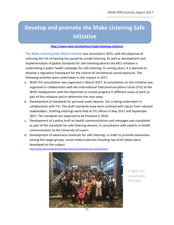**Develop and promote the Make Listening Safe initiative**

### **<http://www.who.int/deafness/make-listening-safe/en/>**

**The Make Listening Safe (MLS) initiative** was launched in 2015, with the objective of reducing the risk of hearing loss posed by unsafe listening. As well as development and implementation of global standards for safe listening devices the MLS initiative is undertaking a public health campaign for safe listening. In coming years, it is planned to develop a regulatory framework for the control of recreational sound exposure. The following activities were undertaken in this respect in 2017:

- a. WHO-ITU consultation was organized in March 2017: A consultation on this initiative was organized in collaboration with the International Telecommunications Union (ITU) at the WHO headquarters with the objectives to review progress in different areas of work as part of this initiative and to determine the next steps.
- b. Development of standards for personal audio devices: this is being undertaken in collaboration with ITU. The draft standards have been outlined with inputs from relevant stakeholders. Drafting meetings were held at ITU offices in May 2017 and September 2017. The standards are expected to be finalized in 2018.
- c. Development of a policy brief on health communications and messages was completed as part of the standards for safe listening devices, in consultation with experts in health communication at the University of Luzern.
- d. Development of awareness materials for safe listening: in order to promote awareness among the target groups, social media materials including two brief videos were developed on the subject.

<http://www.who.int/deafness/make-listening-safe/advocacy-materials/en/>



←WHO-ITU consultation, WHO HQ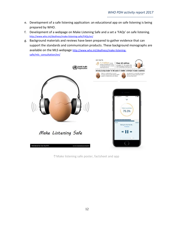- e. Development of a safe listening application: an educational app on safe listening is being prepared by WHO.
- f. Development of a webpage on Make Listening Safe and a set a 'FAQs' on safe listening. <http://www.who.int/deafness/make-listening-safe/FAQs/en/>
- g. Background materials and reviews have been prepared to gather evidence that can support the standards and communication products. These background monographs are available on the MLS webpage [http://www.who.int/deafness/make-listening](http://www.who.int/deafness/make-listening-safe/mls_consultation/en/)[safe/mls\\_consultation/en/](http://www.who.int/deafness/make-listening-safe/mls_consultation/en/)



↑Make listening safe poster, factsheet and app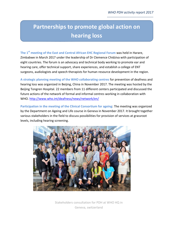# **Partnerships to promote global action on hearing loss**

**The 1st meeting of the East and Central African EHC Regional Forum** was held in Harare, Zimbabwe in March 2017 under the leadership of Dr Clemence Chidziva with participation of eight countries. The forum is an advocacy and technical body working to promote ear and hearing care, offer technical support, share experiences, and establish a college of ENT surgeons, audiologists and speech therapists for human resource development in the region.

**A strategic planning meeting of the WHO collaborating centres** for prevention of deafness and hearing loss was organized in Beijing, China in November 2017. The meeting was hosted by the Beijing Tongren Hospital. 22 members from 11 different centers participated and discussed the future actions of the network of formal and informal centres working in collaboration with WHO.<http://www.who.int/deafness/news/network/en/>

**Participation in the meeting of the Clinical Consortium for ageing**: The meeting was organized by the Department on Ageing and Life course in Geneva in November 2017. It brought together various stakeholders in the field to discuss possibilities for provision of services at grassroot levels, including hearing screening.



Geneva, switzerland Stakeholders consultation for PDH at WHO HQ in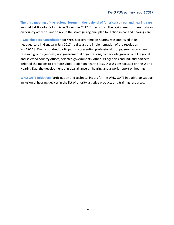**The third meeting of the regional forum (in the regional of Americas) on ear and hearing care** was held at Bogota, Colombia in November 2017. Experts from the region met to share updates on country activities and to revise the strategic regional plan for action in ear and hearing care.

**A Stakeholders' Consultation** for WHO's programme on hearing was organized at its headquarters in Geneva in July 2017, to discuss the implementation of the resolution WHA70.13. Over a hundred participants representing professional groups, service providers, research groups, journals, nongovernmental organizations, civil society groups, WHO regional and selected country offices, selected governments, other UN agencies and industry partners debated the means to promote global action on hearing loss. Discussions focused on the World Hearing Day, the development of global alliance on hearing and a world report on hearing.

**WHO GATE Initiative:** Participation and technical inputs for the WHO GATE initiative, to support inclusion of hearing devices in the list of priority assistive products and training resources.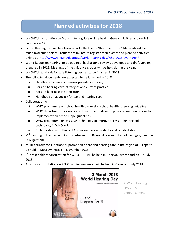### **Planned activities for 2018**

- WHO-ITU consultation on Make Listening Safe will be held in Geneva, Switzerland on 7-8 February 2018.
- World Hearing Day will be observed with the theme 'Hear the future.' Materials will be made available shortly. Partners are invited to register their events and planned activities online at<http://www.who.int/deafness/world-hearing-day/whd-2018-events/en/>
- World Report on Hearing: to be outlined, background reviews developed and draft version prepared in 2018. Meetings of the guidance groups will be held during the year.
- WHO-ITU standards for safe listening devices to be finalized in 2018.
- The following documents are expected to be launched in 2018:
	- i. Handbook for ear and hearing prevalence survey
	- ii. Ear and hearing care: strategies and current practices;
	- iii. Ear and hearing care: indicators
	- iv. Handbook on advocacy for ear and hearing care
- Collaboration with
	- i. WHO programme on school health to develop school health screening guidelines
	- ii. WHO department for ageing and life-course to develop policy recommendations for implementation of the ICope guidelines
	- iii. WHO programme on assistive technology to improve access to hearing aid technology in WHO MS.
	- iv. Collaboration with the WHO programmes on disability and rehabilitation.
- 2<sup>nd</sup> meeting of the East and Central African EHC Regional Forum to be held in Kigali, Rwanda in August 2018.
- Multi-country consultation for promotion of ear and hearing care in the region of Europe to be held in Moscow, Russia in November 2018.
- $\bullet$  3<sup>rd</sup> Stakeholders consultation for WHO PDH will be held in Geneva, Switzerland on 3-4 July 2018.
- An adhoc consultation on PEHC training resources will be held in Geneva in July 2018.



←World Hearing Day 2018 announcement